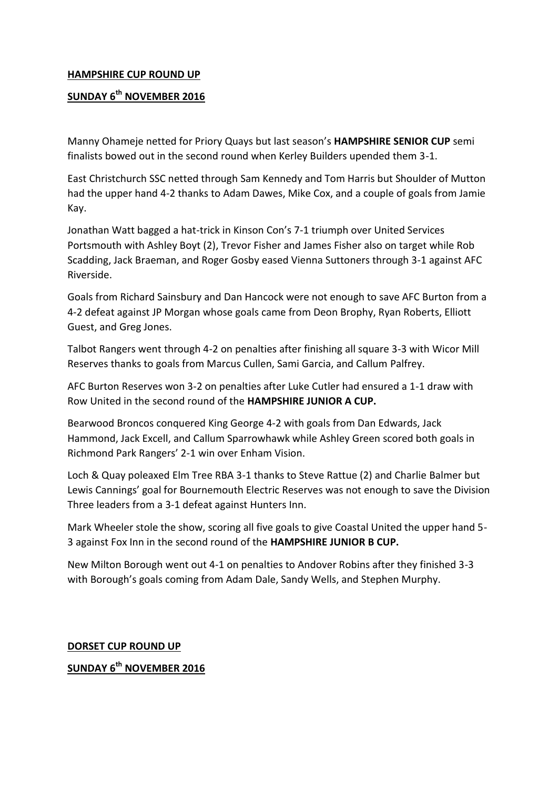## **HAMPSHIRE CUP ROUND UP**

## **SUNDAY 6th NOVEMBER 2016**

Manny Ohameje netted for Priory Quays but last season's **HAMPSHIRE SENIOR CUP** semi finalists bowed out in the second round when Kerley Builders upended them 3-1.

East Christchurch SSC netted through Sam Kennedy and Tom Harris but Shoulder of Mutton had the upper hand 4-2 thanks to Adam Dawes, Mike Cox, and a couple of goals from Jamie Kay.

Jonathan Watt bagged a hat-trick in Kinson Con's 7-1 triumph over United Services Portsmouth with Ashley Boyt (2), Trevor Fisher and James Fisher also on target while Rob Scadding, Jack Braeman, and Roger Gosby eased Vienna Suttoners through 3-1 against AFC Riverside.

Goals from Richard Sainsbury and Dan Hancock were not enough to save AFC Burton from a 4-2 defeat against JP Morgan whose goals came from Deon Brophy, Ryan Roberts, Elliott Guest, and Greg Jones.

Talbot Rangers went through 4-2 on penalties after finishing all square 3-3 with Wicor Mill Reserves thanks to goals from Marcus Cullen, Sami Garcia, and Callum Palfrey.

AFC Burton Reserves won 3-2 on penalties after Luke Cutler had ensured a 1-1 draw with Row United in the second round of the **HAMPSHIRE JUNIOR A CUP.**

Bearwood Broncos conquered King George 4-2 with goals from Dan Edwards, Jack Hammond, Jack Excell, and Callum Sparrowhawk while Ashley Green scored both goals in Richmond Park Rangers' 2-1 win over Enham Vision.

Loch & Quay poleaxed Elm Tree RBA 3-1 thanks to Steve Rattue (2) and Charlie Balmer but Lewis Cannings' goal for Bournemouth Electric Reserves was not enough to save the Division Three leaders from a 3-1 defeat against Hunters Inn.

Mark Wheeler stole the show, scoring all five goals to give Coastal United the upper hand 5- 3 against Fox Inn in the second round of the **HAMPSHIRE JUNIOR B CUP.**

New Milton Borough went out 4-1 on penalties to Andover Robins after they finished 3-3 with Borough's goals coming from Adam Dale, Sandy Wells, and Stephen Murphy.

**DORSET CUP ROUND UP** 

**SUNDAY 6th NOVEMBER 2016**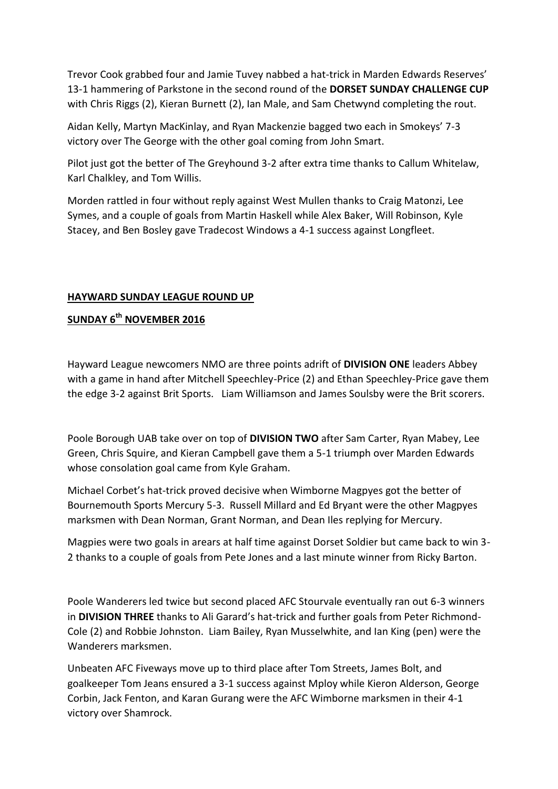Trevor Cook grabbed four and Jamie Tuvey nabbed a hat-trick in Marden Edwards Reserves' 13-1 hammering of Parkstone in the second round of the **DORSET SUNDAY CHALLENGE CUP** with Chris Riggs (2), Kieran Burnett (2), Ian Male, and Sam Chetwynd completing the rout.

Aidan Kelly, Martyn MacKinlay, and Ryan Mackenzie bagged two each in Smokeys' 7-3 victory over The George with the other goal coming from John Smart.

Pilot just got the better of The Greyhound 3-2 after extra time thanks to Callum Whitelaw, Karl Chalkley, and Tom Willis.

Morden rattled in four without reply against West Mullen thanks to Craig Matonzi, Lee Symes, and a couple of goals from Martin Haskell while Alex Baker, Will Robinson, Kyle Stacey, and Ben Bosley gave Tradecost Windows a 4-1 success against Longfleet.

## **HAYWARD SUNDAY LEAGUE ROUND UP**

## **SUNDAY 6th NOVEMBER 2016**

Hayward League newcomers NMO are three points adrift of **DIVISION ONE** leaders Abbey with a game in hand after Mitchell Speechley-Price (2) and Ethan Speechley-Price gave them the edge 3-2 against Brit Sports. Liam Williamson and James Soulsby were the Brit scorers.

Poole Borough UAB take over on top of **DIVISION TWO** after Sam Carter, Ryan Mabey, Lee Green, Chris Squire, and Kieran Campbell gave them a 5-1 triumph over Marden Edwards whose consolation goal came from Kyle Graham.

Michael Corbet's hat-trick proved decisive when Wimborne Magpyes got the better of Bournemouth Sports Mercury 5-3. Russell Millard and Ed Bryant were the other Magpyes marksmen with Dean Norman, Grant Norman, and Dean Iles replying for Mercury.

Magpies were two goals in arears at half time against Dorset Soldier but came back to win 3- 2 thanks to a couple of goals from Pete Jones and a last minute winner from Ricky Barton.

Poole Wanderers led twice but second placed AFC Stourvale eventually ran out 6-3 winners in **DIVISION THREE** thanks to Ali Garard's hat-trick and further goals from Peter Richmond-Cole (2) and Robbie Johnston. Liam Bailey, Ryan Musselwhite, and Ian King (pen) were the Wanderers marksmen.

Unbeaten AFC Fiveways move up to third place after Tom Streets, James Bolt, and goalkeeper Tom Jeans ensured a 3-1 success against Mploy while Kieron Alderson, George Corbin, Jack Fenton, and Karan Gurang were the AFC Wimborne marksmen in their 4-1 victory over Shamrock.